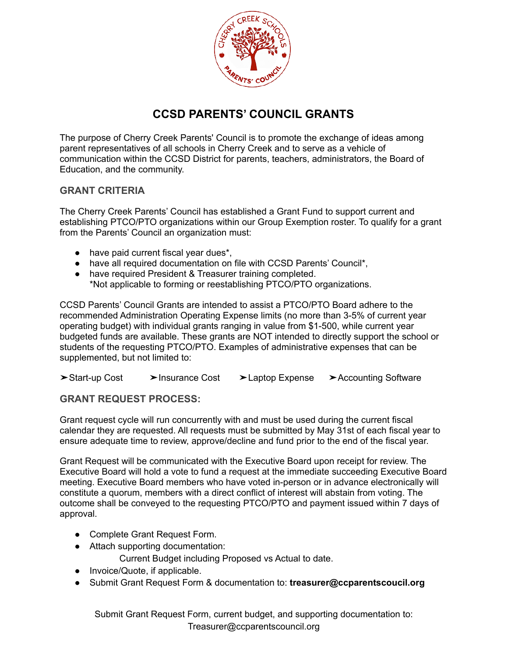

## **CCSD PARENTS' COUNCIL GRANTS**

The purpose of Cherry Creek Parents' Council is to promote the exchange of ideas among parent representatives of all schools in Cherry Creek and to serve as a vehicle of communication within the CCSD District for parents, teachers, administrators, the Board of Education, and the community.

## **GRANT CRITERIA**

The Cherry Creek Parents' Council has established a Grant Fund to support current and establishing PTCO/PTO organizations within our Group Exemption roster. To qualify for a grant from the Parents' Council an organization must:

- have paid current fiscal year dues\*,
- have all required documentation on file with CCSD Parents' Council\*,
- have required President & Treasurer training completed. \*Not applicable to forming or reestablishing PTCO/PTO organizations.

CCSD Parents' Council Grants are intended to assist a PTCO/PTO Board adhere to the recommended Administration Operating Expense limits (no more than 3-5% of current year operating budget) with individual grants ranging in value from \$1-500, while current year budgeted funds are available. These grants are NOT intended to directly support the school or students of the requesting PTCO/PTO. Examples of administrative expenses that can be supplemented, but not limited to:

➤Start-up Cost ➤Insurance Cost ➤Laptop Expense ➤Accounting Software

## **GRANT REQUEST PROCESS:**

Grant request cycle will run concurrently with and must be used during the current fiscal calendar they are requested. All requests must be submitted by May 31st of each fiscal year to ensure adequate time to review, approve/decline and fund prior to the end of the fiscal year.

Grant Request will be communicated with the Executive Board upon receipt for review. The Executive Board will hold a vote to fund a request at the immediate succeeding Executive Board meeting. Executive Board members who have voted in-person or in advance electronically will constitute a quorum, members with a direct conflict of interest will abstain from voting. The outcome shall be conveyed to the requesting PTCO/PTO and payment issued within 7 days of approval.

- Complete Grant Request Form.
- Attach supporting documentation:

Current Budget including Proposed vs Actual to date.

- Invoice/Quote, if applicable.
- Submit Grant Request Form & documentation to: **treasurer@ccparentscoucil.org**

Submit Grant Request Form, current budget, and supporting documentation to: Treasurer@ccparentscouncil.org